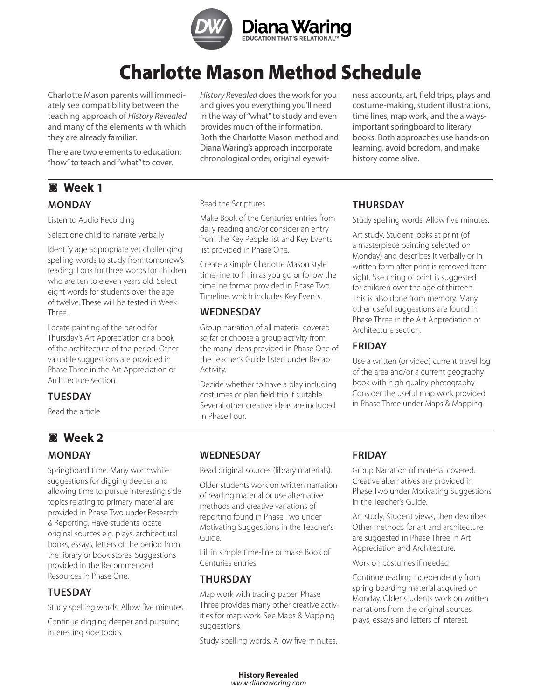

# Charlotte Mason Method Schedule

Charlotte Mason parents will immediately see compatibility between the teaching approach of History Revealed and many of the elements with which they are already familiar.

There are two elements to education: "how" to teach and "what" to cover.

# ◙ **Week 1 Monday**

Listen to Audio Recording

Select one child to narrate verbally

Identify age appropriate yet challenging spelling words to study from tomorrow's reading. Look for three words for children who are ten to eleven years old. Select eight words for students over the age of twelve. These will be tested in Week Three.

Locate painting of the period for Thursday's Art Appreciation or a book of the architecture of the period. Other valuable suggestions are provided in Phase Three in the Art Appreciation or Architecture section.

# **Tuesday**

Read the article

# ◙ **Week 2**

# **Monday**

Springboard time. Many worthwhile suggestions for digging deeper and allowing time to pursue interesting side topics relating to primary material are provided in Phase Two under Research & Reporting. Have students locate original sources e.g. plays, architectural books, essays, letters of the period from the library or book stores. Suggestions provided in the Recommended Resources in Phase One.

# **Tuesday**

Study spelling words. Allow five minutes.

Continue digging deeper and pursuing interesting side topics.

History Revealed does the work for you and gives you everything you'll need in the way of "what" to study and even provides much of the information. Both the Charlotte Mason method and Diana Waring's approach incorporate chronological order, original eyewit-

ness accounts, art, field trips, plays and costume-making, student illustrations, time lines, map work, and the alwaysimportant springboard to literary books. Both approaches use hands-on learning, avoid boredom, and make history come alive.

#### Read the Scriptures

Make Book of the Centuries entries from daily reading and/or consider an entry from the Key People list and Key Events list provided in Phase One.

Create a simple Charlotte Mason style time-line to fill in as you go or follow the timeline format provided in Phase Two Timeline, which includes Key Events.

#### **Wednesday**

Group narration of all material covered so far or choose a group activity from the many ideas provided in Phase One of the Teacher's Guide listed under Recap Activity.

Decide whether to have a play including costumes or plan field trip if suitable. Several other creative ideas are included in Phase Four.

# **Thursday**

Study spelling words. Allow five minutes.

Art study. Student looks at print (of a masterpiece painting selected on Monday) and describes it verbally or in written form after print is removed from sight. Sketching of print is suggested for children over the age of thirteen. This is also done from memory. Many other useful suggestions are found in Phase Three in the Art Appreciation or Architecture section.

# **Friday**

Use a written (or video) current travel log of the area and/or a current geography book with high quality photography. Consider the useful map work provided in Phase Three under Maps & Mapping.

# **Wednesday**

Read original sources (library materials).

Older students work on written narration of reading material or use alternative methods and creative variations of reporting found in Phase Two under Motivating Suggestions in the Teacher's Guide.

Fill in simple time-line or make Book of Centuries entries

# **THURSDAY**

Map work with tracing paper. Phase Three provides many other creative activities for map work. See Maps & Mapping suggestions.

Study spelling words. Allow five minutes.

# **Friday**

Group Narration of material covered. Creative alternatives are provided in Phase Two under Motivating Suggestions in the Teacher's Guide.

Art study. Student views, then describes. Other methods for art and architecture are suggested in Phase Three in Art Appreciation and Architecture.

Work on costumes if needed

Continue reading independently from spring boarding material acquired on Monday. Older students work on written narrations from the original sources, plays, essays and letters of interest.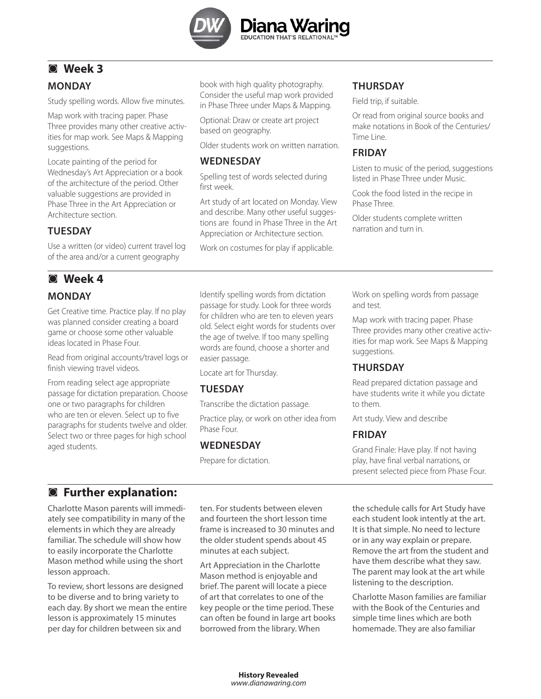

# ◙ **Week 3**

# **Monday**

Study spelling words. Allow five minutes.

Map work with tracing paper. Phase Three provides many other creative activities for map work. See Maps & Mapping suggestions.

Locate painting of the period for Wednesday's Art Appreciation or a book of the architecture of the period. Other valuable suggestions are provided in Phase Three in the Art Appreciation or Architecture section.

# **TUESDAY**

Use a written (or video) current travel log of the area and/or a current geography

# ◙ **Week 4**

# **Monday**

Get Creative time. Practice play. If no play was planned consider creating a board game or choose some other valuable ideas located in Phase Four.

Read from original accounts/travel logs or finish viewing travel videos.

From reading select age appropriate passage for dictation preparation. Choose one or two paragraphs for children who are ten or eleven. Select up to five paragraphs for students twelve and older. Select two or three pages for high school aged students.

book with high quality photography. Consider the useful map work provided in Phase Three under Maps & Mapping.

Optional: Draw or create art project based on geography.

Older students work on written narration.

# **Wednesday**

Spelling test of words selected during first week.

Art study of art located on Monday. View and describe. Many other useful suggestions are found in Phase Three in the Art Appreciation or Architecture section.

Work on costumes for play if applicable.

# **Thursday**

Field trip, if suitable.

Or read from original source books and make notations in Book of the Centuries/ Time Line.

# **Friday**

Listen to music of the period, suggestions listed in Phase Three under Music.

Cook the food listed in the recipe in Phase Three.

Older students complete written narration and turn in.

Identify spelling words from dictation passage for study. Look for three words for children who are ten to eleven years old. Select eight words for students over the age of twelve. If too many spelling words are found, choose a shorter and easier passage.

Locate art for Thursday.

# **Tuesday**

Transcribe the dictation passage.

Practice play, or work on other idea from Phase Four.

# **Wednesday**

Prepare for dictation.

Work on spelling words from passage and test.

Map work with tracing paper. Phase Three provides many other creative activities for map work. See Maps & Mapping suggestions.

# **Thursday**

Read prepared dictation passage and have students write it while you dictate to them.

Art study. View and describe

# **Friday**

Grand Finale: Have play. If not having play, have final verbal narrations, or present selected piece from Phase Four.

# ◙ **Further explanation:**

Charlotte Mason parents will immediately see compatibility in many of the elements in which they are already familiar. The schedule will show how to easily incorporate the Charlotte Mason method while using the short lesson approach.

To review, short lessons are designed to be diverse and to bring variety to each day. By short we mean the entire lesson is approximately 15 minutes per day for children between six and

ten. For students between eleven and fourteen the short lesson time frame is increased to 30 minutes and the older student spends about 45 minutes at each subject.

Art Appreciation in the Charlotte Mason method is enjoyable and brief. The parent will locate a piece of art that correlates to one of the key people or the time period. These can often be found in large art books borrowed from the library. When

the schedule calls for Art Study have each student look intently at the art. It is that simple. No need to lecture or in any way explain or prepare. Remove the art from the student and have them describe what they saw. The parent may look at the art while listening to the description.

Charlotte Mason families are familiar with the Book of the Centuries and simple time lines which are both homemade. They are also familiar

**History Revealed** www.dianawaring.com